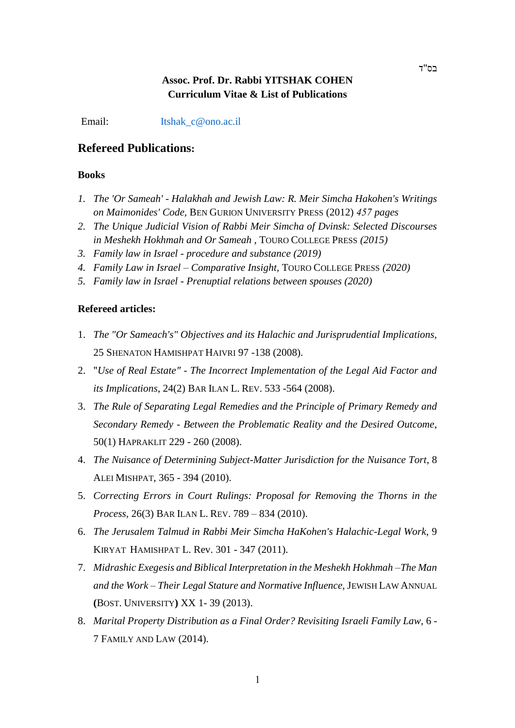## **Assoc. Prof. Dr. Rabbi YITSHAK COHEN Curriculum Vitae & List of Publications**

Email: [Itshak\\_c@ono.ac.il](mailto:Itshak_c@ono.ac.il)

### **Refereed Publications:**

#### **Books**

- *1. The 'Or Sameah' - Halakhah and Jewish Law: R. Meir Simcha Hakohen's Writings on Maimonides' Code,* BEN GURION UNIVERSITY PRESS (2012) *457 pages*
- *2. The Unique Judicial Vision of Rabbi Meir Simcha of Dvinsk: Selected Discourses in Meshekh Hokhmah and Or Sameah* , TOURO COLLEGE PRESS *(2015)*
- *3. Family law in Israel - procedure and substance (2019)*
- *4. Family Law in Israel – Comparative Insight,* TOURO COLLEGE PRESS *(2020)*
- *5. Family law in Israel - Prenuptial relations between spouses (2020)*

#### **Refereed articles:**

- 1. *The "Or Sameach's" Objectives and its Halachic and Jurisprudential Implications,* 25 SHENATON HAMISHPAT HAIVRI 97 -138 (2008).
- 2. "*Use of Real Estate" - The Incorrect Implementation of the Legal Aid Factor and its Implications*, 24(2) BAR ILAN L. REV. 533 -564 (2008).
- 3. *The Rule of Separating Legal Remedies and the Principle of Primary Remedy and Secondary Remedy - Between the Problematic Reality and the Desired Outcome*, 50(1) HAPRAKLIT 229 - 260 (2008).
- 4. *The Nuisance of Determining Subject-Matter Jurisdiction for the Nuisance Tort*, 8 ALEI MISHPAT, 365 - 394 (2010).
- 5. *Correcting Errors in Court Rulings: Proposal for Removing the Thorns in the Process,* 26(3) BAR ILAN L. REV. 789 – 834 (2010).
- 6. *The Jerusalem Talmud in Rabbi Meir Simcha HaKohen's Halachic-Legal Work*, 9 KIRYAT HAMISHPAT L. Rev. 301 - 347 (2011).
- 7. *Midrashic Exegesis and Biblical Interpretation in the Meshekh Hokhmah –The Man and the Work – Their Legal Stature and Normative Influence,* JEWISH LAW ANNUAL **(**BOST. UNIVERSITY**)** XX 1- 39 (2013).
- 8. *Marital Property Distribution as a Final Order? Revisiting Israeli Family Law,* 6 7 FAMILY AND LAW (2014).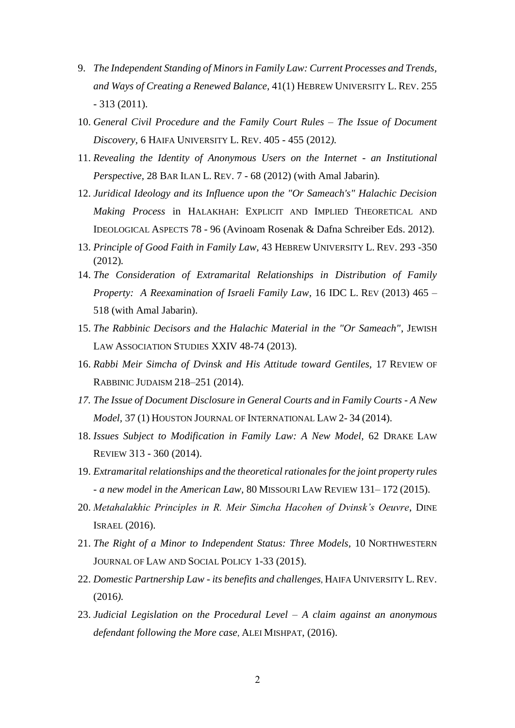- 9. *The Independent Standing of Minors in Family Law: Current Processes and Trends, and Ways of Creating a Renewed Balance,* 41(1) HEBREW UNIVERSITY L. REV. 255 - 313 (2011).
- 10. *General Civil Procedure and the Family Court Rules – The Issue of Document Discovery,* 6 HAIFA UNIVERSITY L. REV. 405 - 455 (2012*).*
- 11. *Revealing the Identity of Anonymous Users on the Internet - an Institutional Perspective,* 28 BAR ILAN L. REV. 7 - 68 (2012) (with Amal Jabarin)*.*
- 12. *Juridical Ideology and its Influence upon the "Or Sameach's" Halachic Decision Making Process* in HALAKHAH: EXPLICIT AND IMPLIED THEORETICAL AND IDEOLOGICAL ASPECTS 78 - 96 (Avinoam Rosenak & Dafna Schreiber Eds. 2012).
- 13. *Principle of Good Faith in Family Law,* 43 HEBREW UNIVERSITY L. REV. 293 -350 (2012)*.*
- 14. *The Consideration of Extramarital Relationships in Distribution of Family Property: A Reexamination of Israeli Family Law,* 16 IDC L. REV (2013) 465 – 518 (with Amal Jabarin).
- 15. *The Rabbinic Decisors and the Halachic Material in the "Or Sameach"*, JEWISH LAW ASSOCIATION STUDIES XXIV 48-74 (2013).
- 16. *Rabbi Meir Simcha of Dvinsk and His Attitude toward Gentiles,* 17 REVIEW OF RABBINIC JUDAISM 218–251 (2014).
- *17. The Issue of Document Disclosure in General Courts and in Family Courts - A New Model,* 37 (1) HOUSTON JOURNAL OF INTERNATIONAL LAW 2- 34 (2014).
- 18. *Issues Subject to Modification in Family Law: A New Model,* 62 DRAKE LAW REVIEW 313 - 360 (2014).
- 19. *Extramarital relationships and the theoretical rationales for the joint property rules - a new model in the American Law,* 80 MISSOURI LAW REVIEW 131– 172 (2015).
- 20. *Metahalakhic Principles in R. Meir Simcha Hacohen of Dvinsk's Oeuvre*, DINE ISRAEL (2016).
- 21. *The Right of a Minor to Independent Status: Three Models,* 10 NORTHWESTERN JOURNAL OF LAW AND SOCIAL POLICY 1-33 (2015).
- 22. *Domestic Partnership Law - its benefits and challenges*, HAIFA UNIVERSITY L. REV. (2016*).*
- 23. *Judicial Legislation on the Procedural Level – A claim against an anonymous defendant following the More case*, ALEI MISHPAT, (2016).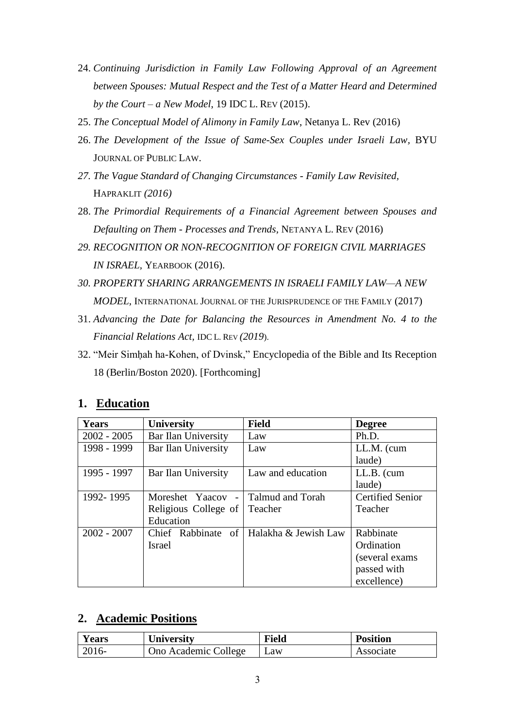- 24. *Continuing Jurisdiction in Family Law Following Approval of an Agreement between Spouses: Mutual Respect and the Test of a Matter Heard and Determined by the Court – a New Model*, 19 IDC L. REV (2015).
- 25. *The Conceptual Model of Alimony in Family Law*, Netanya L. Rev (2016)
- 26. *The Development of the Issue of Same-Sex Couples under Israeli Law,* BYU JOURNAL OF PUBLIC LAW.
- *27. The Vague Standard of Changing Circumstances - Family Law Revisited,*  HAPRAKLIT *(2016)*
- 28. *The Primordial Requirements of a Financial Agreement between Spouses and Defaulting on Them - Processes and Trends,* NETANYA L. REV (2016)
- *29. RECOGNITION OR NON-RECOGNITION OF FOREIGN CIVIL MARRIAGES IN ISRAEL,* YEARBOOK (2016).
- *30. PROPERTY SHARING ARRANGEMENTS IN ISRAELI FAMILY LAW—A NEW MODEL,* INTERNATIONAL JOURNAL OF THE JURISPRUDENCE OF THE FAMILY (2017)
- 31. *Advancing the Date for Balancing the Resources in Amendment No. 4 to the Financial Relations Act,* IDC L. REV *(2019*).
- 32. "Meir Simḥah ha-Kohen, of Dvinsk," Encyclopedia of the Bible and Its Reception 18 (Berlin/Boston 2020). [Forthcoming]

### **1. Education**

| <b>Years</b>  | <b>University</b>    | <b>Field</b>            | <b>Degree</b>           |
|---------------|----------------------|-------------------------|-------------------------|
| $2002 - 2005$ | Bar Ilan University  | Law                     | Ph.D.                   |
| 1998 - 1999   | Bar Ilan University  | Law                     | $LL.M.$ (cum            |
|               |                      |                         | laude)                  |
| 1995 - 1997   | Bar Ilan University  | Law and education       | LL.B. (cum              |
|               |                      |                         | laude)                  |
| 1992-1995     | Moreshet Yaacov -    | <b>Talmud and Torah</b> | <b>Certified Senior</b> |
|               | Religious College of | Teacher                 | Teacher                 |
|               | Education            |                         |                         |
| $2002 - 2007$ | Chief Rabbinate of   | Halakha & Jewish Law    | Rabbinate               |
|               | <b>Israel</b>        |                         | Ordination              |
|               |                      |                         | (several exams)         |
|               |                      |                         | passed with             |
|               |                      |                         | excellence)             |

## **2. Academic Positions**

| <b>Years</b> | University           | <b>Field</b> | <b>Position</b> |
|--------------|----------------------|--------------|-----------------|
| $2016-$      | Ono Academic College | Law          | Associate       |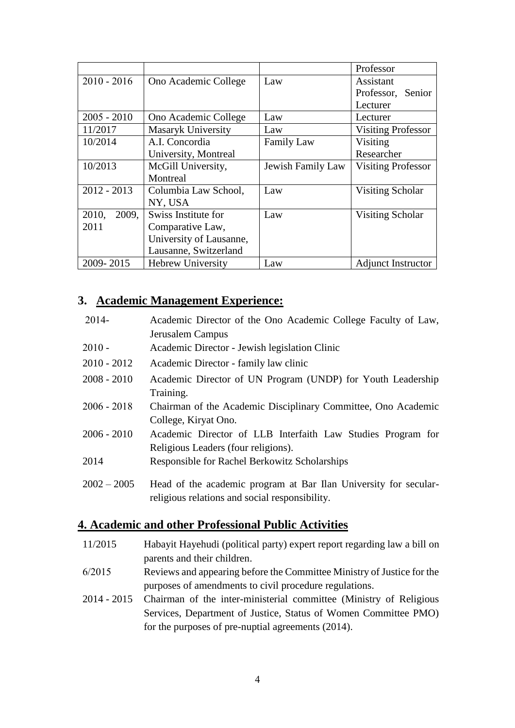|                |                          |                   | Professor                 |
|----------------|--------------------------|-------------------|---------------------------|
| $2010 - 2016$  | Ono Academic College     | Law               | Assistant                 |
|                |                          |                   | Professor, Senior         |
|                |                          |                   | Lecturer                  |
| $2005 - 2010$  | Ono Academic College     | Law               | Lecturer                  |
| 11/2017        | Masaryk University       | Law               | <b>Visiting Professor</b> |
| 10/2014        | A.I. Concordia           | <b>Family Law</b> | Visiting                  |
|                | University, Montreal     |                   | Researcher                |
| 10/2013        | McGill University,       | Jewish Family Law | <b>Visiting Professor</b> |
|                | Montreal                 |                   |                           |
| $2012 - 2013$  | Columbia Law School,     | Law               | Visiting Scholar          |
|                | NY, USA                  |                   |                           |
| 2010,<br>2009, | Swiss Institute for      | Law               | Visiting Scholar          |
| 2011           | Comparative Law,         |                   |                           |
|                | University of Lausanne,  |                   |                           |
|                | Lausanne, Switzerland    |                   |                           |
| 2009-2015      | <b>Hebrew University</b> | Law               | <b>Adjunct Instructor</b> |

# **3. Academic Management Experience:**

| $2014 -$      | Academic Director of the Ono Academic College Faculty of Law,                                                      |
|---------------|--------------------------------------------------------------------------------------------------------------------|
|               | Jerusalem Campus                                                                                                   |
| $2010 -$      | Academic Director - Jewish legislation Clinic                                                                      |
| $2010 - 2012$ | Academic Director - family law clinic                                                                              |
| $2008 - 2010$ | Academic Director of UN Program (UNDP) for Youth Leadership                                                        |
|               | Training.                                                                                                          |
| $2006 - 2018$ | Chairman of the Academic Disciplinary Committee, Ono Academic                                                      |
|               | College, Kiryat Ono.                                                                                               |
| $2006 - 2010$ | Academic Director of LLB Interfaith Law Studies Program for                                                        |
|               | Religious Leaders (four religions).                                                                                |
| 2014          | <b>Responsible for Rachel Berkowitz Scholarships</b>                                                               |
| $2002 - 2005$ | Head of the academic program at Bar Ilan University for secular-<br>religious relations and social responsibility. |

## **4. Academic and other Professional Public Activities**

| 11/2015 | Habayit Hayehudi (political party) expert report regarding law a bill on |
|---------|--------------------------------------------------------------------------|
|         | parents and their children.                                              |

- Reviews and appearing before the Committee Ministry of Justice for the purposes of amendments to civil procedure regulations. 6/2015
- Chairman of the inter-ministerial committee (Ministry of Religious Services, Department of Justice, Status of Women Committee PMO) for the purposes of pre-nuptial agreements (2014). 2014 - 2015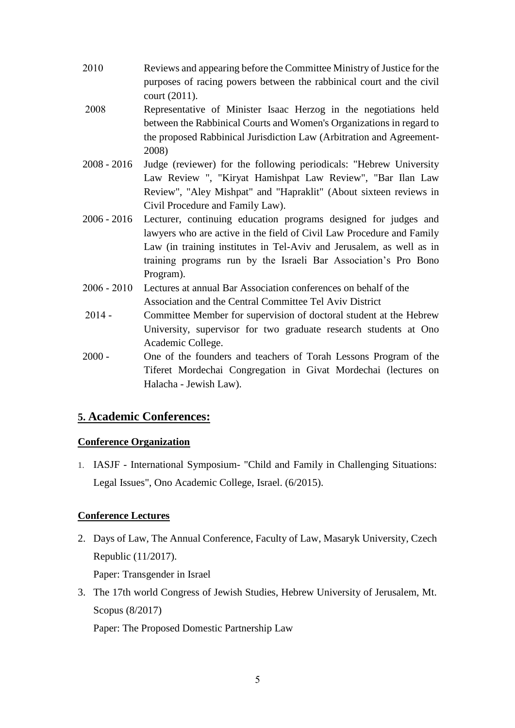- Reviews and appearing before the Committee Ministry of Justice for the purposes of racing powers between the rabbinical court and the civil court (2011). 2010
- Representative of Minister Isaac Herzog in the negotiations held between the Rabbinical Courts and Women's Organizations in regard to the proposed Rabbinical Jurisdiction Law (Arbitration and Agreement-2008) 2008
- Judge (reviewer) for the following periodicals: "Hebrew University Law Review ", "Kiryat Hamishpat Law Review", "Bar Ilan Law Review", "Aley Mishpat" and "Hapraklit" (About sixteen reviews in Civil Procedure and Family Law). 2008 - 2016
- 2006 2016 Lecturer, continuing education programs designed for judges and lawyers who are active in the field of Civil Law Procedure and Family Law (in training institutes in Tel-Aviv and Jerusalem, as well as in training programs run by the Israeli Bar Association's Pro Bono Program).
- Lectures at annual Bar Association conferences on behalf of the Association and the Central Committee Tel Aviv District 2006 - 2010
- Committee Member for supervision of doctoral student at the Hebrew University, supervisor for two graduate research students at Ono Academic College. 2014 -
- One of the founders and teachers of Torah Lessons Program of the Tiferet Mordechai Congregation in Givat Mordechai (lectures on Halacha - Jewish Law). 2000 -

## **5. Academic Conferences:**

### **Conference Organization**

1. IASJF - International Symposium- "Child and Family in Challenging Situations: Legal Issues", Ono Academic College, Israel. (6/2015).

## **Conference Lectures**

2. Days of Law, The Annual Conference, Faculty of Law, Masaryk University, Czech Republic (11/2017).

Paper: Transgender in Israel

3. The 17th world Congress of Jewish Studies, Hebrew University of Jerusalem, Mt. Scopus (8/2017)

Paper: The Proposed Domestic Partnership Law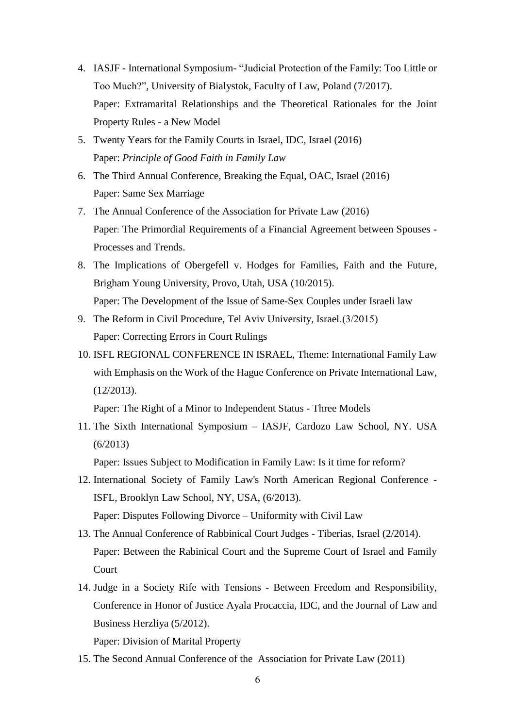- 4. IASJF International Symposium- "Judicial Protection of the Family: Too Little or Too Much?", University of Bialystok, Faculty of Law, Poland (7/2017). Paper: Extramarital Relationships and the Theoretical Rationales for the Joint Property Rules - a New Model
- 5. Twenty Years for the Family Courts in Israel, IDC, Israel (2016) Paper: *Principle of Good Faith in Family Law*
- 6. The Third Annual Conference, Breaking the Equal, OAC, Israel (2016) Paper: Same Sex Marriage
- 7. The Annual Conference of the Association for Private Law (2016) Paper: The Primordial Requirements of a Financial Agreement between Spouses - Processes and Trends.
- 8. The Implications of Obergefell v. Hodges for Families, Faith and the Future, Brigham Young University, Provo, Utah, USA (10/2015). Paper: The Development of the Issue of Same-Sex Couples under Israeli law
- 9. The Reform in Civil Procedure, Tel Aviv University, Israel.(3/2015) Paper: Correcting Errors in Court Rulings
- 10. ISFL REGIONAL CONFERENCE IN ISRAEL, Theme: International Family Law with Emphasis on the Work of the Hague Conference on Private International Law, (12/2013).

Paper: The Right of a Minor to Independent Status - Three Models

11. The Sixth International Symposium – IASJF, Cardozo Law School, NY. USA (6/2013)

Paper: Issues Subject to Modification in Family Law: Is it time for reform?

- 12. International Society of Family Law's North American Regional Conference ISFL, Brooklyn Law School, NY, USA, (6/2013). Paper: Disputes Following Divorce – Uniformity with Civil Law
- 13. The Annual Conference of Rabbinical Court Judges Tiberias, Israel (2/2014). Paper: Between the Rabinical Court and the Supreme Court of Israel and Family Court
- 14. Judge in a Society Rife with Tensions Between Freedom and Responsibility, Conference in Honor of Justice Ayala Procaccia, IDC, and the Journal of Law and Business Herzliya (5/2012).

Paper: Division of Marital Property

15. The Second Annual Conference of the Association for Private Law (2011)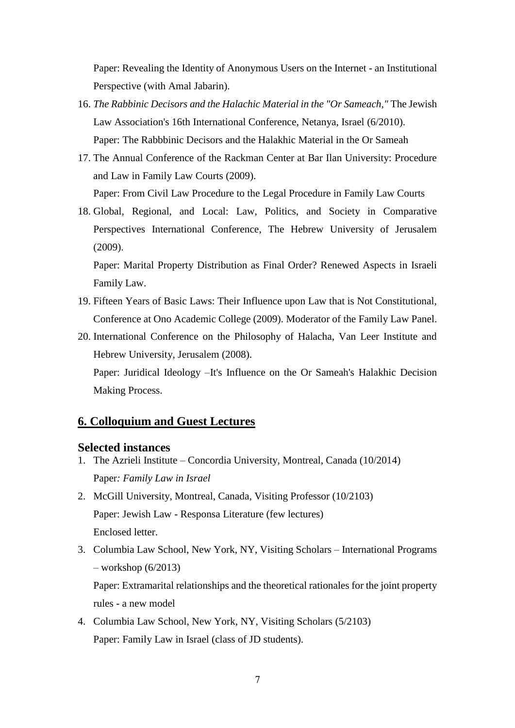Paper: Revealing the Identity of Anonymous Users on the Internet - an Institutional Perspective (with Amal Jabarin).

- 16. *The Rabbinic Decisors and the Halachic Material in the "Or Sameach,"* The Jewish Law Association's 16th International Conference, Netanya, Israel (6/2010). Paper: The Rabbbinic Decisors and the Halakhic Material in the Or Sameah
- 17. The Annual Conference of the Rackman Center at Bar Ilan University: Procedure and Law in Family Law Courts (2009).

Paper: From Civil Law Procedure to the Legal Procedure in Family Law Courts

18. Global, Regional, and Local: Law, Politics, and Society in Comparative Perspectives International Conference, The Hebrew University of Jerusalem (2009).

Paper: Marital Property Distribution as Final Order? Renewed Aspects in Israeli Family Law.

- 19. Fifteen Years of Basic Laws: Their Influence upon Law that is Not Constitutional, Conference at Ono Academic College (2009). Moderator of the Family Law Panel.
- 20. International Conference on the Philosophy of Halacha, Van Leer Institute and Hebrew University, Jerusalem (2008).

Paper: Juridical Ideology –It's Influence on the Or Sameah's Halakhic Decision Making Process.

### **6. Colloquium and Guest Lectures**

#### **Selected instances**

- 1. The Azrieli Institute Concordia University, Montreal, Canada (10/2014) Paper*: Family Law in Israel*
- 2. McGill University, Montreal, Canada, Visiting Professor (10/2103) Paper: Jewish Law - Responsa Literature (few lectures) Enclosed letter.
- 3. Columbia Law School, New York, NY, Visiting Scholars International Programs – workshop (6/2013)

Paper: Extramarital relationships and the theoretical rationales for the joint property rules - a new model

4. Columbia Law School, New York, NY, Visiting Scholars (5/2103) Paper: Family Law in Israel (class of JD students).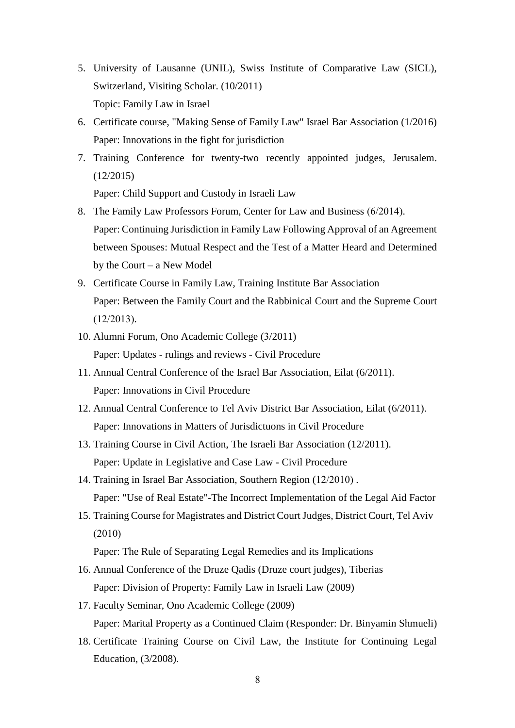- 5. University of Lausanne (UNIL), Swiss Institute of Comparative Law (SICL), Switzerland, Visiting Scholar. (10/2011) Topic: Family Law in Israel
- 6. Certificate course, "Making Sense of Family Law" Israel Bar Association (1/2016) Paper: Innovations in the fight for jurisdiction
- 7. Training Conference for twenty-two recently appointed judges, Jerusalem. (12/2015)

Paper: Child Support and Custody in Israeli Law

- 8. The Family Law Professors Forum, Center for Law and Business (6/2014). Paper: Continuing Jurisdiction in Family Law Following Approval of an Agreement between Spouses: Mutual Respect and the Test of a Matter Heard and Determined by the Court – a New Model
- 9. Certificate Course in Family Law, Training Institute Bar Association Paper: Between the Family Court and the Rabbinical Court and the Supreme Court  $(12/2013)$ .
- 10. Alumni Forum, Ono Academic College (3/2011) Paper: Updates - rulings and reviews - Civil Procedure
- 11. Annual Central Conference of the Israel Bar Association, Eilat (6/2011). Paper: Innovations in Civil Procedure
- 12. Annual Central Conference to Tel Aviv District Bar Association, Eilat (6/2011). Paper: Innovations in Matters of Jurisdictuons in Civil Procedure
- 13. Training Course in Civil Action, The Israeli Bar Association (12/2011). Paper: Update in Legislative and Case Law - Civil Procedure
- 14. Training in Israel Bar Association, Southern Region (12/2010). Paper: "Use of Real Estate"-The Incorrect Implementation of the Legal Aid Factor
- 15. Training Course for Magistrates and District Court Judges, District Court, Tel Aviv  $(2010)$

Paper: The Rule of Separating Legal Remedies and its Implications

- 16. Annual Conference of the Druze Qadis (Druze court judges), Tiberias Paper: Division of Property: Family Law in Israeli Law (2009)
- 17. Faculty Seminar, Ono Academic College (2009) Paper: Marital Property as a Continued Claim (Responder: Dr. Binyamin Shmueli)
- 18. Certificate Training Course on Civil Law, the Institute for Continuing Legal Education, (3/2008).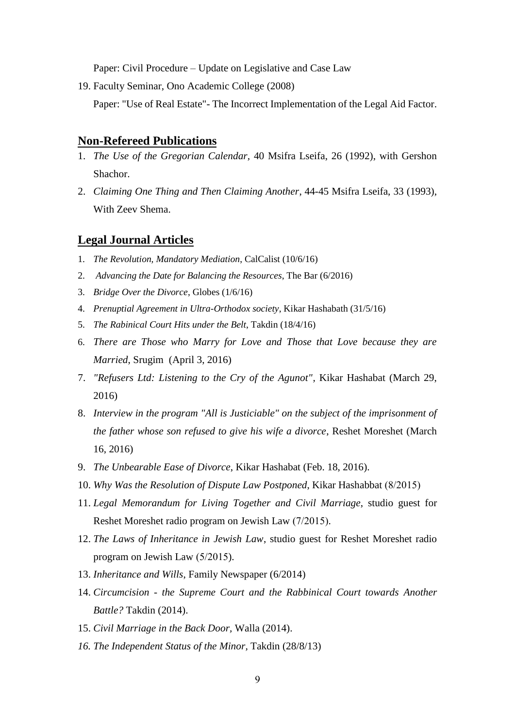Paper: Civil Procedure – Update on Legislative and Case Law

19. Faculty Seminar, Ono Academic College (2008)

Paper: "Use of Real Estate"- The Incorrect Implementation of the Legal Aid Factor.

#### **Non-Refereed Publications**

- 1. *The Use of the Gregorian Calendar,* 40 Msifra Lseifa, 26 (1992), with Gershon Shachor.
- 2. *Claiming One Thing and Then Claiming Another*, 44-45 Msifra Lseifa, 33 (1993), With Zeev Shema.

### **Legal Journal Articles**

- 1. *The Revolution, Mandatory Mediation*, CalCalist (10/6/16)
- 2. *Advancing the Date for Balancing the Resources*, The Bar (6/2016)
- 3. *Bridge Over the Divorce*, Globes (1/6/16)
- 4. *Prenuptial Agreement in Ultra-Orthodox society*, Kikar Hashabath (31/5/16)
- 5. *The Rabinical Court Hits under the Belt*, Takdin (18/4/16)
- 6. *There are Those who Marry for Love and Those that Love because they are Married*, Srugim (April 3, 2016)
- 7. *"Refusers Ltd: Listening to the Cry of the Agunot",* Kikar Hashabat (March 29, 2016)
- 8. *Interview in the program "All is Justiciable" on the subject of the imprisonment of the father whose son refused to give his wife a divorce*, Reshet Moreshet (March 16, 2016)
- 9. *The Unbearable Ease of Divorce*, Kikar Hashabat (Feb. 18, 2016).
- 10. *Why Was the Resolution of Dispute Law Postponed*, Kikar Hashabbat (8/2015)
- 11. *Legal Memorandum for Living Together and Civil Marriage*, studio guest for Reshet Moreshet radio program on Jewish Law (7/2015).
- 12. *The Laws of Inheritance in Jewish Law*, studio guest for Reshet Moreshet radio program on Jewish Law  $(5/2015)$ .
- 13. *Inheritance and Wills*, Family Newspaper (6/2014)
- 14. *Circumcision - the Supreme Court and the Rabbinical Court towards Another Battle?* Takdin (2014).
- 15. *Civil Marriage in the Back Door,* Walla (2014).
- *16. The Independent Status of the Minor,* Takdin (28/8/13)